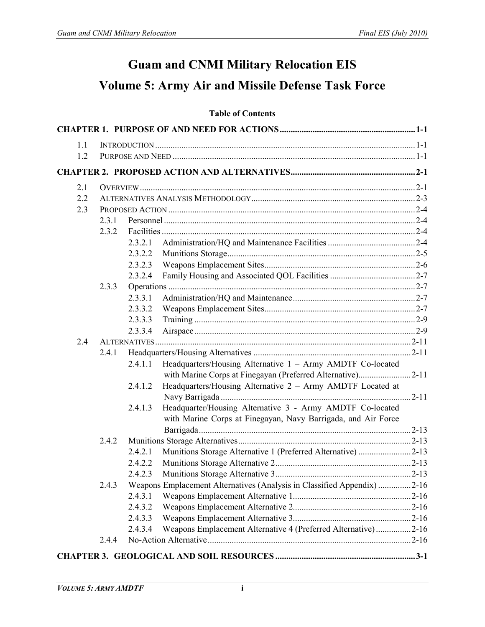## **Guam and CNMI Military Relocation EIS Volume 5: Army Air and Missile Defense Task Force**

## **Table of Contents**

| 1.1 |       |         |                                                                         |  |
|-----|-------|---------|-------------------------------------------------------------------------|--|
| 1.2 |       |         |                                                                         |  |
|     |       |         |                                                                         |  |
| 2.1 |       |         |                                                                         |  |
| 2.2 |       |         |                                                                         |  |
| 2.3 |       |         |                                                                         |  |
|     | 2.3.1 |         |                                                                         |  |
|     | 2.3.2 |         |                                                                         |  |
|     |       | 2.3.2.1 |                                                                         |  |
|     |       | 2.3.2.2 |                                                                         |  |
|     |       | 2.3.2.3 |                                                                         |  |
|     |       | 2.3.2.4 |                                                                         |  |
|     | 2.3.3 |         |                                                                         |  |
|     |       | 2.3.3.1 |                                                                         |  |
|     |       | 2.3.3.2 |                                                                         |  |
|     |       | 2.3.3.3 |                                                                         |  |
|     |       | 2.3.3.4 |                                                                         |  |
| 2.4 |       |         |                                                                         |  |
|     | 2.4.1 |         |                                                                         |  |
|     |       | 2.4.1.1 | Headquarters/Housing Alternative 1 - Army AMDTF Co-located              |  |
|     |       |         | with Marine Corps at Finegayan (Preferred Alternative)2-11              |  |
|     |       | 2.4.1.2 | Headquarters/Housing Alternative 2 - Army AMDTF Located at              |  |
|     |       | 2.4.1.3 | Headquarter/Housing Alternative 3 - Army AMDTF Co-located               |  |
|     |       |         | with Marine Corps at Finegayan, Navy Barrigada, and Air Force           |  |
|     |       |         |                                                                         |  |
|     | 2.4.2 |         |                                                                         |  |
|     |       | 2.4.2.1 | Munitions Storage Alternative 1 (Preferred Alternative) 2-13            |  |
|     |       | 2.4.2.2 |                                                                         |  |
|     |       | 2.4.2.3 |                                                                         |  |
|     | 2.4.3 |         | Weapons Emplacement Alternatives (Analysis in Classified Appendix) 2-16 |  |
|     |       | 2.4.3.1 |                                                                         |  |
|     |       | 2.4.3.2 |                                                                         |  |
|     |       | 2.4.3.3 |                                                                         |  |
|     |       | 2.4.3.4 | Weapons Emplacement Alternative 4 (Preferred Alternative)2-16           |  |
|     | 2.4.4 |         |                                                                         |  |
|     |       |         |                                                                         |  |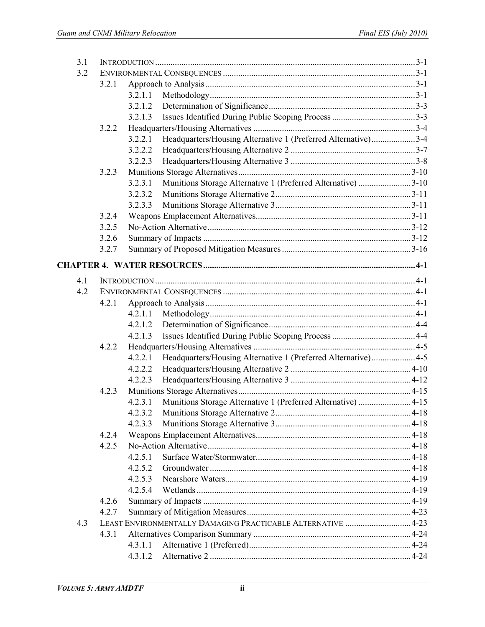| 3.1 |       |         |                                                               |  |
|-----|-------|---------|---------------------------------------------------------------|--|
| 3.2 |       |         |                                                               |  |
|     | 3.2.1 |         |                                                               |  |
|     |       | 3.2.1.1 |                                                               |  |
|     |       | 3.2.1.2 |                                                               |  |
|     |       | 3.2.1.3 |                                                               |  |
|     | 3.2.2 |         |                                                               |  |
|     |       | 3.2.2.1 | Headquarters/Housing Alternative 1 (Preferred Alternative)3-4 |  |
|     |       | 3.2.2.2 |                                                               |  |
|     |       | 3.2.2.3 |                                                               |  |
|     | 3.2.3 |         |                                                               |  |
|     |       | 3.2.3.1 | Munitions Storage Alternative 1 (Preferred Alternative) 3-10  |  |
|     |       | 3.2.3.2 |                                                               |  |
|     |       | 3.2.3.3 |                                                               |  |
|     | 3.2.4 |         |                                                               |  |
|     | 3.2.5 |         |                                                               |  |
|     | 3.2.6 |         |                                                               |  |
|     | 3.2.7 |         |                                                               |  |
|     |       |         |                                                               |  |
| 4.1 |       |         |                                                               |  |
| 4.2 |       |         |                                                               |  |
|     | 4.2.1 |         |                                                               |  |
|     |       | 4.2.1.1 |                                                               |  |
|     |       | 4.2.1.2 |                                                               |  |
|     |       | 4.2.1.3 |                                                               |  |
|     | 4.2.2 |         |                                                               |  |
|     |       | 4.2.2.1 | Headquarters/Housing Alternative 1 (Preferred Alternative)4-5 |  |
|     |       | 4.2.2.2 |                                                               |  |
|     |       | 4.2.2.3 |                                                               |  |
|     | 4.2.3 |         |                                                               |  |
|     |       | 4.2.3.1 | Munitions Storage Alternative 1 (Preferred Alternative) 4-15  |  |
|     |       |         |                                                               |  |
|     |       | 4.2.3.3 |                                                               |  |
|     | 4.2.4 |         |                                                               |  |
|     | 4.2.5 |         |                                                               |  |
|     |       | 4.2.5.1 |                                                               |  |
|     |       | 4.2.5.2 |                                                               |  |
|     |       | 4.2.5.3 |                                                               |  |
|     |       | 4.2.5.4 |                                                               |  |
|     | 4.2.6 |         |                                                               |  |
|     | 4.2.7 |         |                                                               |  |
| 4.3 |       |         | LEAST ENVIRONMENTALLY DAMAGING PRACTICABLE ALTERNATIVE 4-23   |  |
|     | 4.3.1 |         |                                                               |  |
|     |       | 4.3.1.1 |                                                               |  |
|     |       | 4.3.1.2 |                                                               |  |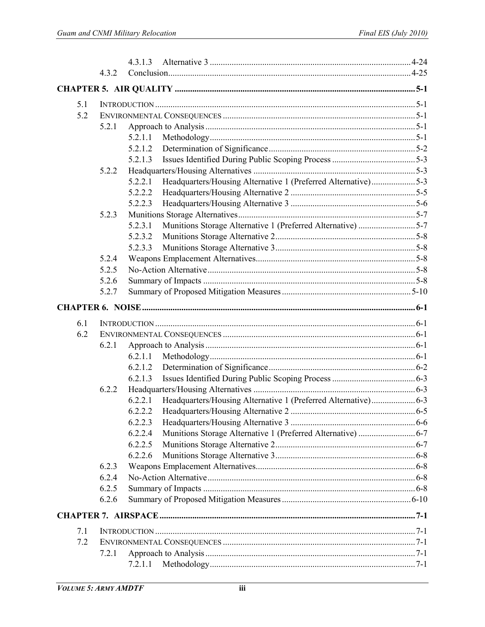|     | 4.3.2 |                                                                          |  |  |  |
|-----|-------|--------------------------------------------------------------------------|--|--|--|
|     |       |                                                                          |  |  |  |
| 5.1 |       |                                                                          |  |  |  |
| 5.2 |       |                                                                          |  |  |  |
|     | 5.2.1 |                                                                          |  |  |  |
|     |       | 5.2.1.1                                                                  |  |  |  |
|     |       |                                                                          |  |  |  |
|     |       | 5.2.1.3                                                                  |  |  |  |
|     | 5.2.2 |                                                                          |  |  |  |
|     |       | Headquarters/Housing Alternative 1 (Preferred Alternative)5-3<br>5.2.2.1 |  |  |  |
|     |       | 5.2.2.2                                                                  |  |  |  |
|     |       | 5.2.2.3                                                                  |  |  |  |
|     | 5.2.3 |                                                                          |  |  |  |
|     |       | Munitions Storage Alternative 1 (Preferred Alternative) 5-7<br>5.2.3.1   |  |  |  |
|     |       | 5.2.3.2                                                                  |  |  |  |
|     |       | 5.2.3.3                                                                  |  |  |  |
|     | 5.2.4 |                                                                          |  |  |  |
|     | 5.2.5 |                                                                          |  |  |  |
|     | 5.2.6 |                                                                          |  |  |  |
|     | 5.2.7 |                                                                          |  |  |  |
|     |       |                                                                          |  |  |  |
| 6.1 |       |                                                                          |  |  |  |
| 6.2 |       |                                                                          |  |  |  |
|     | 6.2.1 |                                                                          |  |  |  |
|     |       |                                                                          |  |  |  |
|     |       |                                                                          |  |  |  |
|     |       | 6.2.1.3                                                                  |  |  |  |
|     | 6.2.2 |                                                                          |  |  |  |
|     |       | 6.2.2.1                                                                  |  |  |  |
|     |       | 6.2.2.2 Headquarters/Housing Alternative 2.                              |  |  |  |
|     |       | 6.2.2.3                                                                  |  |  |  |
|     |       | 6.2.2.4                                                                  |  |  |  |
|     |       | 6.2.2.5                                                                  |  |  |  |
|     |       | 6.2.2.6                                                                  |  |  |  |
|     | 6.2.3 |                                                                          |  |  |  |
|     | 6.2.4 |                                                                          |  |  |  |
|     | 6.2.5 |                                                                          |  |  |  |
|     | 6.2.6 |                                                                          |  |  |  |
|     |       |                                                                          |  |  |  |
| 7.1 |       |                                                                          |  |  |  |
| 7.2 |       |                                                                          |  |  |  |
|     | 7.2.1 |                                                                          |  |  |  |
|     |       | 7.2.1.1                                                                  |  |  |  |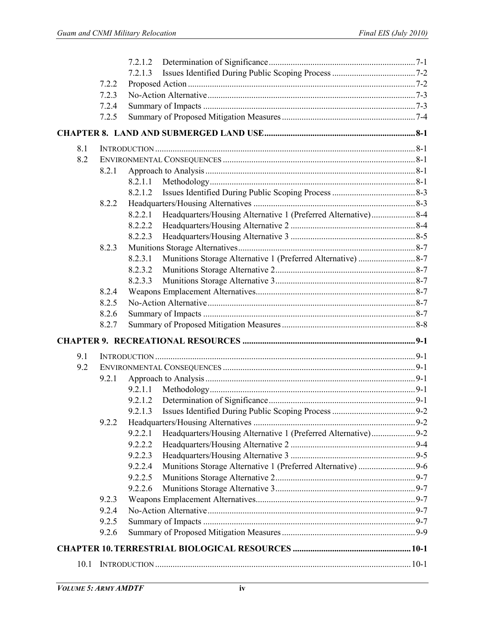|      |       | 7.2.1.3                                                                  |  |
|------|-------|--------------------------------------------------------------------------|--|
|      | 7.2.2 |                                                                          |  |
|      | 7.2.3 |                                                                          |  |
|      | 7.2.4 |                                                                          |  |
|      | 7.2.5 |                                                                          |  |
|      |       |                                                                          |  |
| 8.1  |       |                                                                          |  |
| 8.2  |       |                                                                          |  |
|      | 8.2.1 |                                                                          |  |
|      |       | 8.2.1.1                                                                  |  |
|      |       | 8.2.1.2                                                                  |  |
|      | 8.2.2 |                                                                          |  |
|      |       | Headquarters/Housing Alternative 1 (Preferred Alternative)8-4<br>8.2.2.1 |  |
|      |       | 8.2.2.2                                                                  |  |
|      |       | 8.2.2.3                                                                  |  |
|      | 8.2.3 |                                                                          |  |
|      |       | 8.2.3.1                                                                  |  |
|      |       | 8.2.3.2                                                                  |  |
|      |       | 8.2.3.3                                                                  |  |
|      | 8.2.4 |                                                                          |  |
|      | 8.2.5 |                                                                          |  |
|      | 8.2.6 |                                                                          |  |
|      | 8.2.7 |                                                                          |  |
|      |       |                                                                          |  |
| 9.1  |       |                                                                          |  |
| 9.2  |       |                                                                          |  |
|      | 9.2.1 |                                                                          |  |
|      |       | 9.2.1.1                                                                  |  |
|      |       | 9.2.1.2                                                                  |  |
|      |       |                                                                          |  |
|      | 9.2.2 |                                                                          |  |
|      |       | Headquarters/Housing Alternative 1 (Preferred Alternative)9-2<br>9.2.2.1 |  |
|      |       | 9.2.2.2                                                                  |  |
|      |       | 9.2.2.3                                                                  |  |
|      |       | 9.2.2.4                                                                  |  |
|      |       | 9.2.2.5                                                                  |  |
|      |       | 9.2.2.6                                                                  |  |
|      | 9.2.3 |                                                                          |  |
|      | 9.2.4 |                                                                          |  |
|      | 9.2.5 |                                                                          |  |
|      | 9.2.6 |                                                                          |  |
|      |       |                                                                          |  |
| 10.1 |       |                                                                          |  |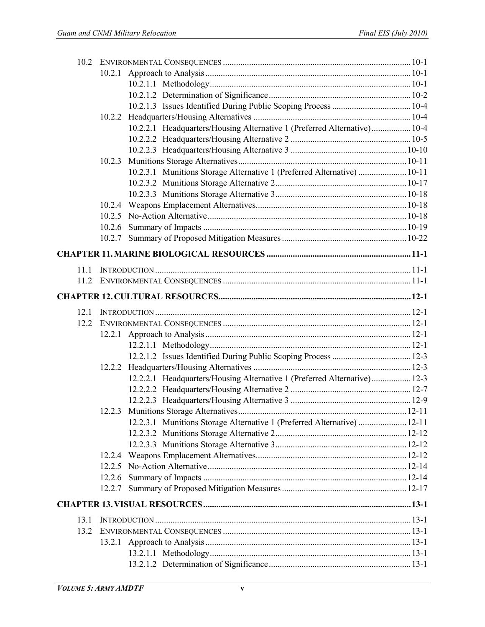| 10.2 |        |                                                                          |  |
|------|--------|--------------------------------------------------------------------------|--|
|      |        |                                                                          |  |
|      |        |                                                                          |  |
|      |        |                                                                          |  |
|      |        |                                                                          |  |
|      |        |                                                                          |  |
|      |        | 10.2.2.1 Headquarters/Housing Alternative 1 (Preferred Alternative) 10-4 |  |
|      |        |                                                                          |  |
|      |        |                                                                          |  |
|      | 10.2.3 |                                                                          |  |
|      |        | 10.2.3.1 Munitions Storage Alternative 1 (Preferred Alternative)  10-11  |  |
|      |        |                                                                          |  |
|      |        |                                                                          |  |
|      | 10.2.4 |                                                                          |  |
|      |        |                                                                          |  |
|      |        |                                                                          |  |
|      |        |                                                                          |  |
|      |        |                                                                          |  |
| 11.1 |        |                                                                          |  |
| 11.2 |        |                                                                          |  |
|      |        |                                                                          |  |
| 12.1 |        |                                                                          |  |
| 12.2 |        |                                                                          |  |
|      |        |                                                                          |  |
|      |        |                                                                          |  |
|      |        |                                                                          |  |
|      |        |                                                                          |  |
|      |        | 12.2.2.1 Headquarters/Housing Alternative 1 (Preferred Alternative) 12-3 |  |
|      |        |                                                                          |  |
|      |        |                                                                          |  |
|      |        |                                                                          |  |
|      |        | 12.2.3.1 Munitions Storage Alternative 1 (Preferred Alternative)  12-11  |  |
|      |        |                                                                          |  |
|      |        |                                                                          |  |
|      |        |                                                                          |  |
|      |        |                                                                          |  |
|      |        |                                                                          |  |
|      |        |                                                                          |  |
|      |        |                                                                          |  |
| 13.1 |        |                                                                          |  |
| 13.2 |        |                                                                          |  |
|      |        |                                                                          |  |
|      |        |                                                                          |  |
|      |        |                                                                          |  |
|      |        |                                                                          |  |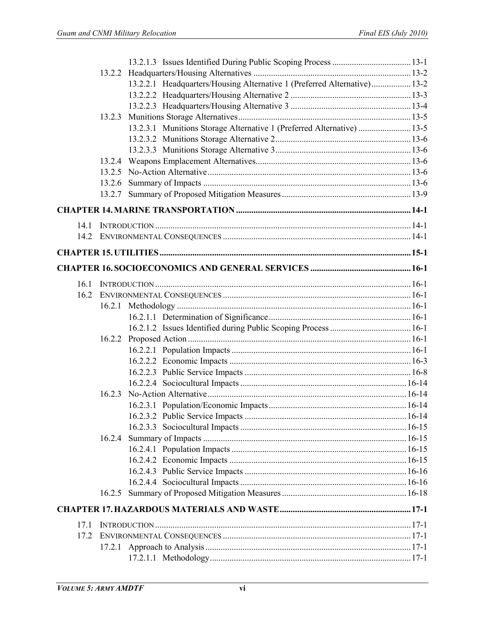|      | 13.2.2 |                                                                          |  |
|------|--------|--------------------------------------------------------------------------|--|
|      |        | 13.2.2.1 Headquarters/Housing Alternative 1 (Preferred Alternative) 13-2 |  |
|      |        |                                                                          |  |
|      |        |                                                                          |  |
|      | 13.2.3 |                                                                          |  |
|      |        | 13.2.3.1 Munitions Storage Alternative 1 (Preferred Alternative)  13-5   |  |
|      |        |                                                                          |  |
|      |        |                                                                          |  |
|      |        |                                                                          |  |
|      |        |                                                                          |  |
|      |        |                                                                          |  |
|      |        |                                                                          |  |
|      |        |                                                                          |  |
| 14.1 |        |                                                                          |  |
|      |        |                                                                          |  |
|      |        |                                                                          |  |
|      |        |                                                                          |  |
| 16.1 |        |                                                                          |  |
| 16.2 |        |                                                                          |  |
|      |        |                                                                          |  |
|      |        |                                                                          |  |
|      |        |                                                                          |  |
|      | 16.2.2 |                                                                          |  |
|      |        |                                                                          |  |
|      |        |                                                                          |  |
|      |        |                                                                          |  |
|      |        |                                                                          |  |
|      | 16.2.3 |                                                                          |  |
|      |        |                                                                          |  |
|      |        |                                                                          |  |
|      |        |                                                                          |  |
|      | 16.2.4 |                                                                          |  |
|      |        |                                                                          |  |
|      |        |                                                                          |  |
|      |        |                                                                          |  |
|      |        |                                                                          |  |
|      | 16.2.5 |                                                                          |  |
|      |        |                                                                          |  |
| 17.1 |        |                                                                          |  |
| 17.2 |        |                                                                          |  |
|      |        |                                                                          |  |
|      |        |                                                                          |  |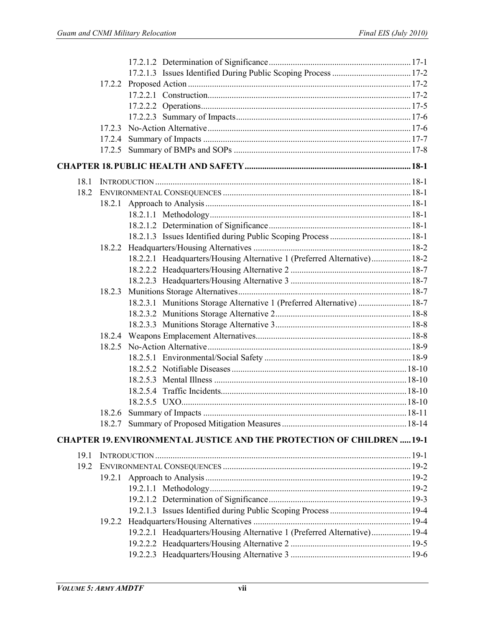|      | 17.2.3 |                                                                               |  |
|------|--------|-------------------------------------------------------------------------------|--|
|      |        |                                                                               |  |
|      |        |                                                                               |  |
|      |        |                                                                               |  |
| 18.1 |        |                                                                               |  |
| 18.2 |        |                                                                               |  |
|      | 18.2.1 |                                                                               |  |
|      |        |                                                                               |  |
|      |        |                                                                               |  |
|      |        |                                                                               |  |
|      |        |                                                                               |  |
|      |        | 18.2.2.1 Headquarters/Housing Alternative 1 (Preferred Alternative) 18-2      |  |
|      |        |                                                                               |  |
|      |        |                                                                               |  |
|      |        |                                                                               |  |
|      | 18.2.3 |                                                                               |  |
|      |        | 18.2.3.1 Munitions Storage Alternative 1 (Preferred Alternative)  18-7        |  |
|      |        |                                                                               |  |
|      |        |                                                                               |  |
|      |        |                                                                               |  |
|      |        |                                                                               |  |
|      |        |                                                                               |  |
|      |        |                                                                               |  |
|      |        |                                                                               |  |
|      |        |                                                                               |  |
|      |        |                                                                               |  |
|      |        |                                                                               |  |
|      |        |                                                                               |  |
|      |        | <b>CHAPTER 19. ENVIRONMENTAL JUSTICE AND THE PROTECTION OF CHILDREN  19-1</b> |  |
| 19.1 |        |                                                                               |  |
| 19.2 |        |                                                                               |  |
|      |        |                                                                               |  |
|      |        |                                                                               |  |
|      |        |                                                                               |  |
|      |        |                                                                               |  |
|      |        |                                                                               |  |
|      |        | 19.2.2.1 Headquarters/Housing Alternative 1 (Preferred Alternative) 19-4      |  |
|      |        |                                                                               |  |
|      |        |                                                                               |  |
|      |        |                                                                               |  |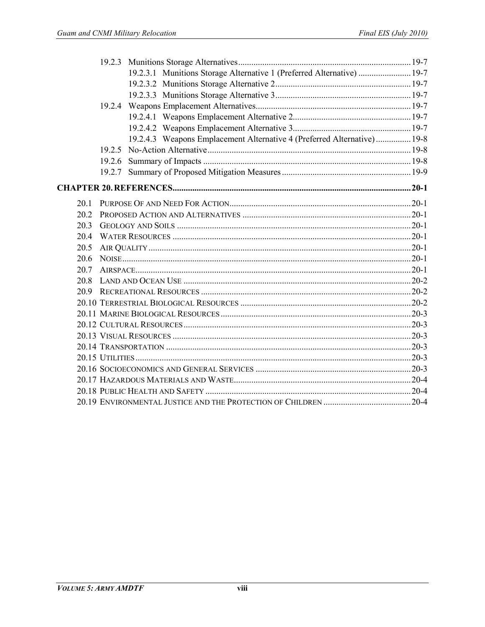|      |        | 19.2.3.1 Munitions Storage Alternative 1 (Preferred Alternative)  19-7  |  |
|------|--------|-------------------------------------------------------------------------|--|
|      |        |                                                                         |  |
|      |        |                                                                         |  |
|      |        |                                                                         |  |
|      |        |                                                                         |  |
|      |        |                                                                         |  |
|      |        | 19.2.4.3 Weapons Emplacement Alternative 4 (Preferred Alternative) 19-8 |  |
|      | 1925   |                                                                         |  |
|      | 19.2.6 |                                                                         |  |
|      |        |                                                                         |  |
|      |        |                                                                         |  |
| 20.1 |        |                                                                         |  |
| 20 2 |        |                                                                         |  |
| 20.3 |        |                                                                         |  |
| 20.4 |        |                                                                         |  |
| 20.5 |        |                                                                         |  |
| 20.6 |        |                                                                         |  |
| 20.7 |        |                                                                         |  |
| 20.8 |        |                                                                         |  |
|      |        |                                                                         |  |
|      |        |                                                                         |  |
|      |        |                                                                         |  |
|      |        |                                                                         |  |
|      |        |                                                                         |  |
|      |        |                                                                         |  |
|      |        |                                                                         |  |
|      |        |                                                                         |  |
|      |        |                                                                         |  |
|      |        |                                                                         |  |
|      |        |                                                                         |  |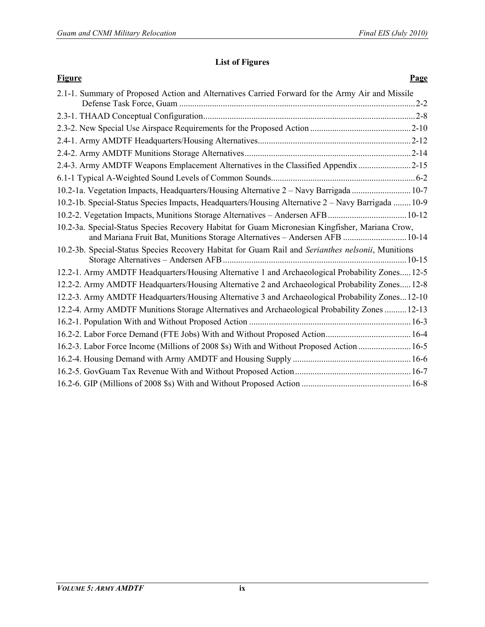## **[List of Figures](#page--1-74)**

| <b>Figure</b>                                                                                                                                                                  | Page |
|--------------------------------------------------------------------------------------------------------------------------------------------------------------------------------|------|
| 2.1-1. Summary of Proposed Action and Alternatives Carried Forward for the Army Air and Missile                                                                                |      |
|                                                                                                                                                                                |      |
|                                                                                                                                                                                |      |
|                                                                                                                                                                                |      |
|                                                                                                                                                                                |      |
| 2.4-3. Army AMDTF Weapons Emplacement Alternatives in the Classified Appendix 2-15                                                                                             |      |
|                                                                                                                                                                                |      |
| 10.2-1a. Vegetation Impacts, Headquarters/Housing Alternative 2 - Navy Barrigada  10-7                                                                                         |      |
| 10.2-1b. Special-Status Species Impacts, Headquarters/Housing Alternative 2 – Navy Barrigada  10-9                                                                             |      |
|                                                                                                                                                                                |      |
| 10.2-3a. Special-Status Species Recovery Habitat for Guam Micronesian Kingfisher, Mariana Crow,<br>and Mariana Fruit Bat, Munitions Storage Alternatives - Andersen AFB  10-14 |      |
| 10.2-3b. Special-Status Species Recovery Habitat for Guam Rail and Serianthes nelsonii, Munitions                                                                              |      |
| 12.2-1. Army AMDTF Headquarters/Housing Alternative 1 and Archaeological Probability Zones 12-5                                                                                |      |
| 12.2-2. Army AMDTF Headquarters/Housing Alternative 2 and Archaeological Probability Zones 12-8                                                                                |      |
| 12.2-3. Army AMDTF Headquarters/Housing Alternative 3 and Archaeological Probability Zones 12-10                                                                               |      |
| 12.2-4. Army AMDTF Munitions Storage Alternatives and Archaeological Probability Zones  12-13                                                                                  |      |
|                                                                                                                                                                                |      |
|                                                                                                                                                                                |      |
| 16.2-3. Labor Force Income (Millions of 2008 \$s) With and Without Proposed Action  16-5                                                                                       |      |
|                                                                                                                                                                                |      |
|                                                                                                                                                                                |      |
|                                                                                                                                                                                |      |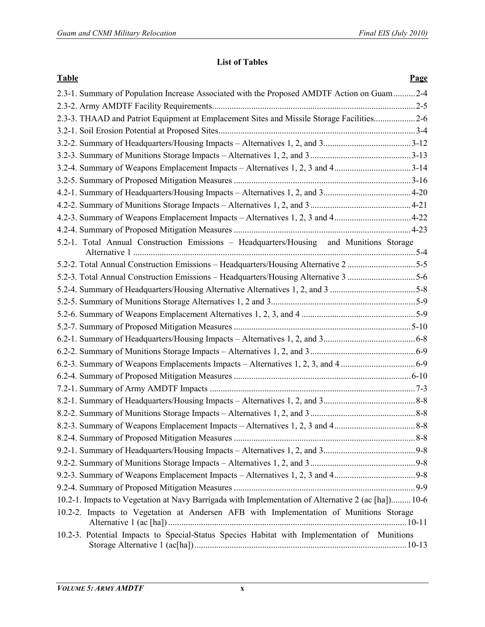## **[List of Tables](#page--1-3)**

| <b>Table</b>                                                                                        | Page |
|-----------------------------------------------------------------------------------------------------|------|
| 2.3-1. Summary of Population Increase Associated with the Proposed AMDTF Action on Guam2-4          |      |
|                                                                                                     |      |
| 2.3-3. THAAD and Patriot Equipment at Emplacement Sites and Missile Storage Facilities2-6           |      |
|                                                                                                     |      |
|                                                                                                     |      |
|                                                                                                     |      |
| 3.2-4. Summary of Weapons Emplacement Impacts – Alternatives 1, 2, 3 and 43-14                      |      |
|                                                                                                     |      |
|                                                                                                     |      |
|                                                                                                     |      |
| 4.2-3. Summary of Weapons Emplacement Impacts - Alternatives 1, 2, 3 and 44-22                      |      |
|                                                                                                     |      |
| 5.2-1. Total Annual Construction Emissions - Headquarters/Housing and Munitions Storage             |      |
| 5-2-2. Total Annual Construction Emissions - Headquarters/Housing Alternative 2 5-5                 |      |
| 5-2-3. Total Annual Construction Emissions - Headquarters/Housing Alternative 3 5-6                 |      |
|                                                                                                     |      |
|                                                                                                     |      |
|                                                                                                     |      |
|                                                                                                     |      |
|                                                                                                     |      |
|                                                                                                     |      |
|                                                                                                     |      |
|                                                                                                     |      |
|                                                                                                     |      |
|                                                                                                     |      |
|                                                                                                     |      |
|                                                                                                     |      |
|                                                                                                     |      |
|                                                                                                     |      |
|                                                                                                     |      |
|                                                                                                     |      |
|                                                                                                     |      |
| 10.2-1. Impacts to Vegetation at Navy Barrigada with Implementation of Alternative 2 (ac [ha]) 10-6 |      |
| 10.2-2. Impacts to Vegetation at Andersen AFB with Implementation of Munitions Storage              |      |
| 10.2-3. Potential Impacts to Special-Status Species Habitat with Implementation of Munitions        |      |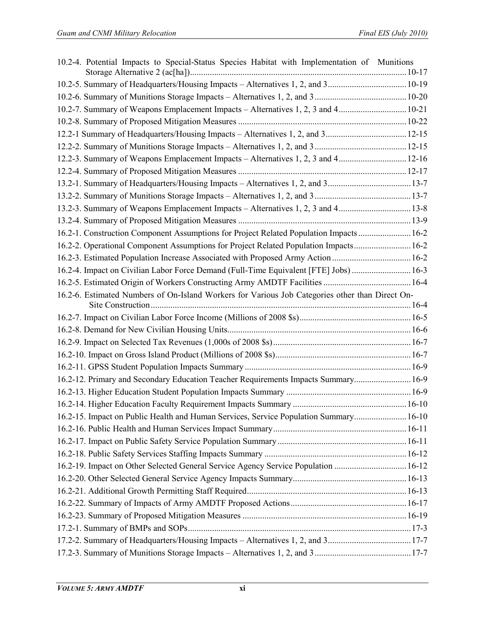| 10.2-4. Potential Impacts to Special-Status Species Habitat with Implementation of Munitions    |  |
|-------------------------------------------------------------------------------------------------|--|
| 10.2-5. Summary of Headquarters/Housing Impacts - Alternatives 1, 2, and 3 10-19                |  |
|                                                                                                 |  |
| 10.2-7. Summary of Weapons Emplacement Impacts – Alternatives 1, 2, 3 and 4 10-21               |  |
|                                                                                                 |  |
| 12.2-1 Summary of Headquarters/Housing Impacts - Alternatives 1, 2, and 3 12-15                 |  |
|                                                                                                 |  |
| 12.2-3. Summary of Weapons Emplacement Impacts - Alternatives 1, 2, 3 and 4 12-16               |  |
|                                                                                                 |  |
| 13.2-1. Summary of Headquarters/Housing Impacts - Alternatives 1, 2, and 313-7                  |  |
|                                                                                                 |  |
| 13.2-3. Summary of Weapons Emplacement Impacts - Alternatives 1, 2, 3 and 4 13-8                |  |
|                                                                                                 |  |
| 16.2-1. Construction Component Assumptions for Project Related Population Impacts 16-2          |  |
| 16.2-2. Operational Component Assumptions for Project Related Population Impacts 16-2           |  |
| 16.2-3. Estimated Population Increase Associated with Proposed Army Action  16-2                |  |
| 16-2-4. Impact on Civilian Labor Force Demand (Full-Time Equivalent [FTE] Jobs)  16-3           |  |
|                                                                                                 |  |
| 16.2-6. Estimated Numbers of On-Island Workers for Various Job Categories other than Direct On- |  |
|                                                                                                 |  |
|                                                                                                 |  |
|                                                                                                 |  |
|                                                                                                 |  |
|                                                                                                 |  |
| 16-2-12. Primary and Secondary Education Teacher Requirements Impacts Summary 16-9              |  |
|                                                                                                 |  |
|                                                                                                 |  |
| 16-10 16.2-15. Impact on Public Health and Human Services, Service Population Summary 16-10     |  |
|                                                                                                 |  |
|                                                                                                 |  |
|                                                                                                 |  |
| 16-12 16.2-19. Impact on Other Selected General Service Agency Service Population  16-12        |  |
|                                                                                                 |  |
|                                                                                                 |  |
|                                                                                                 |  |
|                                                                                                 |  |
|                                                                                                 |  |
| 17.2-2. Summary of Headquarters/Housing Impacts - Alternatives 1, 2, and 317-7                  |  |
|                                                                                                 |  |